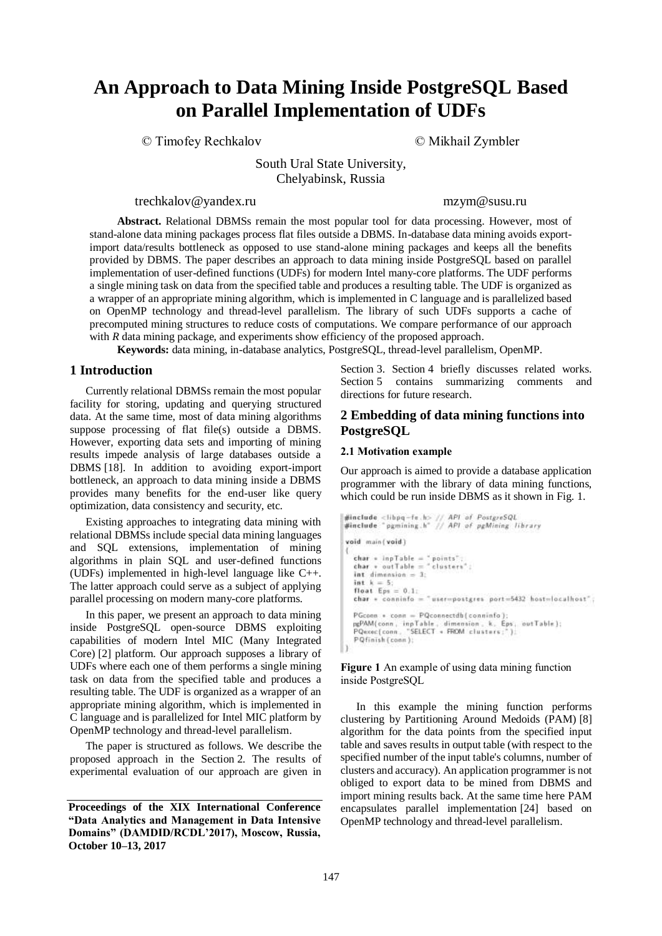# **An Approach to Data Mining Inside PostgreSQL Based on Parallel Implementation of UDFs**

© Timofey Rechkalov © Mikhail Zymbler

South Ural State University, Chelyabinsk, Russia

[trechkalov@yandex.ru](mailto:first@author.email) [mzym@susu.ru](mailto:second@author.email)

**Abstract.** Relational DBMSs remain the most popular tool for data processing. However, most of stand-alone data mining packages process flat files outside a DBMS. In-database data mining avoids exportimport data/results bottleneck as opposed to use stand-alone mining packages and keeps all the benefits provided by DBMS. The paper describes an approach to data mining inside PostgreSQL based on parallel implementation of user-defined functions (UDFs) for modern Intel many-core platforms. The UDF performs a single mining task on data from the specified table and produces a resulting table. The UDF is organized as a wrapper of an appropriate mining algorithm, which is implemented in C language and is parallelized based on OpenMP technology and thread-level parallelism. The library of such UDFs supports a cache of precomputed mining structures to reduce costs of computations. We compare performance of our approach with *R* data mining package, and experiments show efficiency of the proposed approach.

**Keywords:** data mining, in-database analytics, PostgreSQL, thread-level parallelism, OpenMP.

# **1 Introduction**

Currently relational DBMSs remain the most popular facility for storing, updating and querying structured data. At the same time, most of data mining algorithms suppose processing of flat file(s) outside a DBMS. However, exporting data sets and importing of mining results impede analysis of large databases outside a DBMS [18]. In addition to avoiding export-import bottleneck, an approach to data mining inside a DBMS provides many benefits for the end-user like query optimization, data consistency and security, etc.

Existing approaches to integrating data mining with relational DBMSs include special data mining languages and SQL extensions, implementation of mining algorithms in plain SQL and user-defined functions (UDFs) implemented in high-level language like C++. The latter approach could serve as a subject of applying parallel processing on modern many-core platforms.

In this paper, we present an approach to data mining inside PostgreSQL open-source DBMS exploiting capabilities of modern Intel MIC (Many Integrated Core) [2] platform. Our approach supposes a library of UDFs where each one of them performs a single mining task on data from the specified table and produces a resulting table. The UDF is organized as a wrapper of an appropriate mining algorithm, which is implemented in C language and is parallelized for Intel MIC platform by OpenMP technology and thread-level parallelism.

The paper is structured as follows. We describe the proposed approach in the Section 2. The results of experimental evaluation of our approach are given in Section 3. Section 4 briefly discusses related works. Section 5 contains summarizing comments and directions for future research.

# **2 Embedding of data mining functions into PostgreSQL**

#### 2.1 Motivation example

Our approach is aimed to provide a database application programmer with the library of data mining functions, which could be run inside DBMS as it shown in Fig. 1.

```
#include <libpq-fe.h> // API of PostgreSQL<br>#include "pgmining.h" // API of pgMining library
void main(void)
   char = inpTable = "points";<br>char = outTable = "clusters";
   int dimension = 3;
   int k = 5;
   float Eps = 0.1:
   char = conninfo = "user=postgres port=5432 host=localhost";
   PGconn \rightarrow conn = PQconnectdb (conninfo);ruccom = conn = rucconnectum[connectum];<br>pgPAM(conn, inpTable, dimension, & Eps. outTable);<br>PQexec(conn, "SELECT = FROM clusters;");
   PQfinish (conn);
```
Figure 1 An example of using data mining function inside PostgreSQL

In this example the mining function performs clustering by Partitioning Around Medoids (PAM) [8] algorithm for the data points from the specified input table and saves results in output table (with respect to the specified number of the input table's columns, number of clusters and accuracy). An application programmer is not obliged to export data to be mined from DBMS and import mining results back. At the same time here PAM encapsulates parallel implementation [24] based on OpenMP technology and thread-level parallelism.

**Proceedings of the XIX International Conference "Data Analytics and Management in Data Intensive Domains" (DAMDID/RCDL'2017), Moscow, Russia, October 10–13, 2017**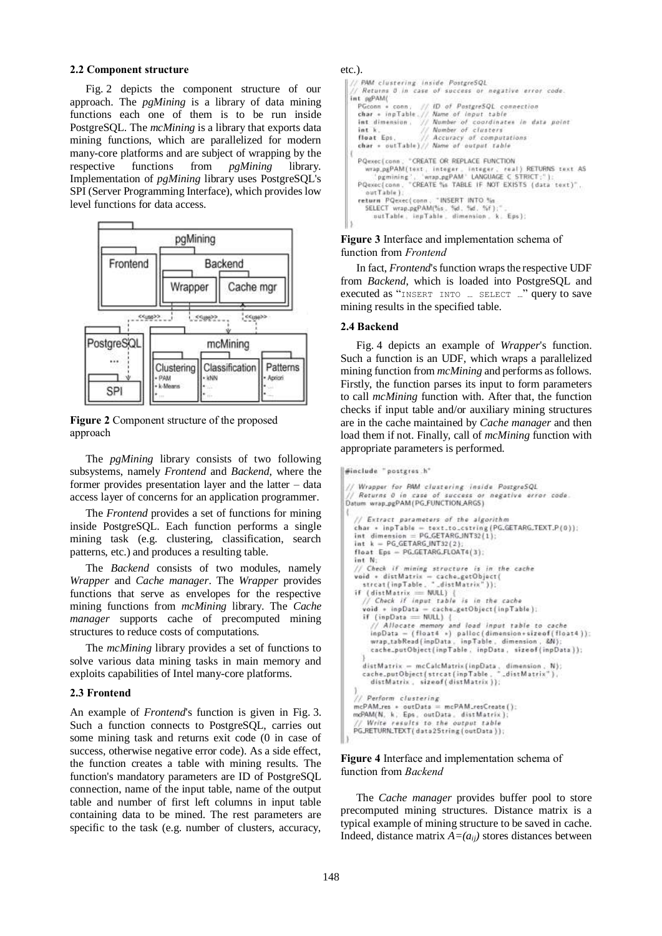#### 2.2 Component structure

Fig. 2 depicts the component structure of our approach. The *pgMining* is a library of data mining functions each one of them is to be run inside PostgreSQL. The *mcMining* is a library that exports data mining functions, which are parallelized for modern many-core platforms and are subject of wrapping by the respective functions from *pgMining* library. Implementation of *pgMining* library uses PostgreSQL's SPI (Server Programming Interface), which provides low level functions for data access.



Figure 2 Component structure of the proposed approach

The *pgMining* library consists of two following subsystems, namely *Frontend* and *Backend*, where the former provides presentation layer and the latter – data access layer of concerns for an application programmer.

The *Frontend* provides a set of functions for mining inside PostgreSQL. Each function performs a single mining task (e.g. clustering, classification, search patterns, etc.) and produces a resulting table.

The *Backend* consists of two modules, namely *Wrapper* and *Cache manager*. The *Wrapper* provides functions that serve as envelopes for the respective mining functions from *mcMining* library. The *Cache manager* supports cache of precomputed mining structures to reduce costs of computations.

The *mcMining* library provides a set of functions to solve various data mining tasks in main memory and exploits capabilities of Intel many-core platforms.

#### 2.3 Frontend

An example of *Frontend*'s function is given in Fig. 3. Such a function connects to PostgreSQL, carries out some mining task and returns exit code (0 in case of success, otherwise negative error code). As a side effect, the function creates a table with mining results. The function's mandatory parameters are ID of PostgreSQL connection, name of the input table, name of the output table and number of first left columns in input table containing data to be mined. The rest parameters are specific to the task (e.g. number of clusters, accuracy,

#### etc.).

```
PAM clustering inside PostgreSQL
    Returns 0 in case of success or negative error code
int orPAM(
  PGconn + conn,
                           38
                                ID of PostgreSQL connection
   char + inpTable. //Name of input table<br>Number of coordinates in data point<br>Number of clusters
   int dimension, \frac{1}{2}int in
  float Eps. // Accuracy of computations<br>char * outTable)// Name of output table
ł
  PQexec (conn.)
                      * CREATE OR REPLACE FUNCTION
     wrap_pgPAM(text, integer, integer, real) RETURNS text AS<br>pgmining', 'wrap_pgPAM' LANGUAGE C STR3CT;"):<br>Qexec(conn, "CREATE %s TABLE IF NOT EXISTS (data text)",
  PQexec(conn.
      outTable 1:
                                 "INSERT INTO %
  return PQexec(conn
     SELECT wrap.pgPAM(%s. %d. %d. %f);".<br>putTable. inpTable. dimension. k. Eps);
```
Figure 3 Interface and implementation schema of function from *Frontend*

In fact, *Frontend*'s function wraps the respective UDF from *Backend*, which is loaded into PostgreSQL and executed as "INSERT INTO … SELECT …" query to save mining results in the specified table.

#### 2.4 Backend

Fig. 4 depicts an example of *Wrapper*'s function. Such a function is an UDF, which wraps a parallelized mining function from *mcMining* and performs as follows. Firstly, the function parses its input to form parameters to call *mcMining* function with. After that, the function checks if input table and/or auxiliary mining structures are in the cache maintained by *Cache manager* and then load them if not. Finally, call of *mcMining* function with appropriate parameters is performed.

```
Winclude "postgres h"
```

```
Wrapper for PAM clustering inside PostgreSQL
// Returns 0 in case of success or negative error code<br>Datum wrap_pgPAM(PG_FUNCTION_ARGS)
   // Extract parameters of the algorithm
   char + inpTable = text.to.cstring(PG.GETARG.TEXT.P(0));<br>int dimension = PG.GETARG.NT32(1);<br>int k = PG.GETARG.NT32(2);
   float Eps - PG.GETARG.FLOAT4(3)
   int N:
       Check if mining structure is in the cache
   void + distMatrix = cache_getObject(<br>strcat(inpTable. "_distMatrix"));
      (distMatrix = NULL)îΪ
      (aistmatrix == nott) {<br>// Check if input table is in the cache<br>void + inpData = cache.getObject(inpTable);
      if (inpData = NULL)
         (inpData == NULL) {<br>// Allocate memory and load input table to cache<br>inpData = (float4 =) palloc(dimension=sizeof(float4));<br>wrap_tabRead(inpData, inpTable, dimension, &N);
         cache_putObject(inpTable, inpData, sizeof(inpData));
      distMatrix = mcCalcMatrix(inpData, dimension, N);
      cache_putObject(strcat(inpTable,
                                                         _distMatrix").
         distMatrix, sizeof(distMatrix));
    // Perform clustering
  mcPAM.res + outData = mcPAM_resCreate();<br>mcPAM(N, k, Eps, outData, distMatrix);
       Write results to the output table
   PGJRETURN_TEXT(data2String(outData));
```
#### Figure 4 Interface and implementation schema of function from *Backend*

The *Cache manager* provides buffer pool to store precomputed mining structures. Distance matrix is a typical example of mining structure to be saved in cache. Indeed, distance matrix  $A=(a_{ij})$  stores distances between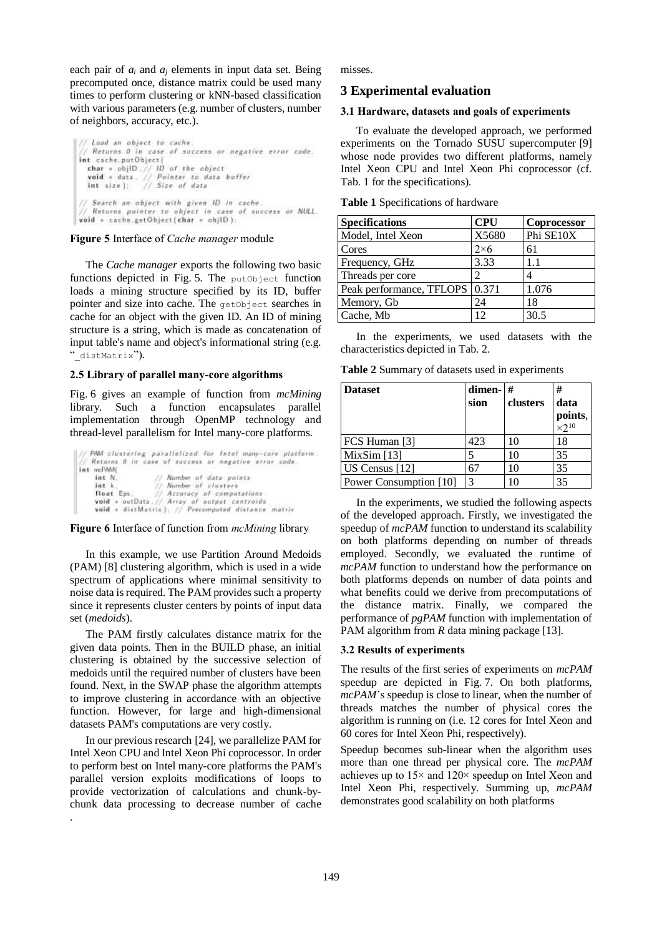each pair of  $a_i$  and  $a_j$  elements in input data set. Being precomputed once, distance matrix could be used many times to perform clustering or kNN-based classification with various parameters (e.g. number of clusters, number of neighbors, accuracy, etc.).

// Load an object to cache. Returns 0 in case of success or negative error code. int cache.putObject( char =  $obj|D_+|/|D_0|$  of the object<br>void = data. // Pointer to data buffer<br>int size): // Size of data // Search an object with given ID in cache. // Returns pointer to object in case of success or NULL.<br>void = cache\_getObject(char = objlD):

#### Figure 5 Interface of *Cache manager* module

The *Cache manager* exports the following two basic functions depicted in Fig. 5. The putObject function loads a mining structure specified by its ID, buffer pointer and size into cache. The getObject searches in cache for an object with the given ID. An ID of mining structure is a string, which is made as concatenation of input table's name and object's informational string (e.g. " distMatrix").

#### 2.5 Library of parallel many-core algorithms

Fig. 6 gives an example of function from *mcMining* library. Such a function encapsulates parallel implementation through OpenMP technology and thread-level parallelism for Intel many-core platforms.

|            | // PMM clustering parallelized for Intel many-core platform |
|------------|-------------------------------------------------------------|
|            | // Returns 0 in case of success or negative error code.     |
| int mcPAMC |                                                             |
| int N.     | Number of data points                                       |
| int k      | Namber of clusters                                          |
| float Eps. | // Accuracy of computations                                 |
|            | void . outData. // Array of output centroids                |
|            | void a distMatrix); // Precomputed distance matrix          |

### Figure 6 Interface of function from *mcMining* library

In this example, we use Partition Around Medoids (PAM) [8] clustering algorithm, which is used in a wide spectrum of applications where minimal sensitivity to noise data is required. The PAM provides such a property since it represents cluster centers by points of input data set (*medoids*).

The PAM firstly calculates distance matrix for the given data points. Then in the BUILD phase, an initial clustering is obtained by the successive selection of medoids until the required number of clusters have been found. Next, in the SWAP phase the algorithm attempts to improve clustering in accordance with an objective function. However, for large and high-dimensional datasets PAM's computations are very costly.

In our previous research [24], we parallelize PAM for Intel Xeon CPU and Intel Xeon Phi coprocessor. In order to perform best on Intel many-core platforms the PAM's parallel version exploits modifications of loops to provide vectorization of calculations and chunk-bychunk data processing to decrease number of cache

.

misses.

## **3 Experimental evaluation**

#### 3.1 Hardware, datasets and goals of experiments

To evaluate the developed approach, we performed experiments on the Tornado SUSU supercomputer [9] whose node provides two different platforms, namely Intel Xeon CPU and Intel Xeon Phi coprocessor (cf. Tab. 1 for the specifications).

| <b>Specifications</b>    | <b>CPU</b>  | Coprocessor |
|--------------------------|-------------|-------------|
| Model, Intel Xeon        | X5680       | Phi SE10X   |
| Cores                    | $2\times 6$ | 61          |
| Frequency, GHz           | 3.33        | 1.1         |
| Threads per core         | っ           |             |
| Peak performance, TFLOPS | 0.371       | 1.076       |
| Memory, Gb               | 24          | 18          |
| Cache, Mb                | 12          | 30.5        |

In the experiments, we used datasets with the characteristics depicted in Tab. 2.

**Table 2** Summary of datasets used in experiments

| <b>Dataset</b>         | dimen- $#$<br>sion | clusters | #<br>data<br>points,<br>$\times 2^{10}$ |
|------------------------|--------------------|----------|-----------------------------------------|
| FCS Human [3]          | 423                | 10       | 18                                      |
| Mix $Sim[13]$          |                    | 10       | 35                                      |
| US Census [12]         | 67                 | 10       | 35                                      |
| Power Consumption [10] | 3                  |          | 35                                      |

In the experiments, we studied the following aspects of the developed approach. Firstly, we investigated the speedup of *mcPAM* function to understand its scalability on both platforms depending on number of threads employed. Secondly, we evaluated the runtime of *mcPAM* function to understand how the performance on both platforms depends on number of data points and what benefits could we derive from precomputations of the distance matrix. Finally, we compared the performance of *pgPAM* function with implementation of PAM algorithm from *R* data mining package [13].

### 3.2 Results of experiments

The results of the first series of experiments on *mcPAM* speedup are depicted in Fig. 7. On both platforms, *mcPAM*'s speedup is close to linear, when the number of threads matches the number of physical cores the algorithm is running on (i.e. 12 cores for Intel Xeon and 60 cores for Intel Xeon Phi, respectively).

Speedup becomes sub-linear when the algorithm uses more than one thread per physical core. The *mcPAM* achieves up to 15× and 120× speedup on Intel Xeon and Intel Xeon Phi, respectively. Summing up, *mcPAM* demonstrates good scalability on both platforms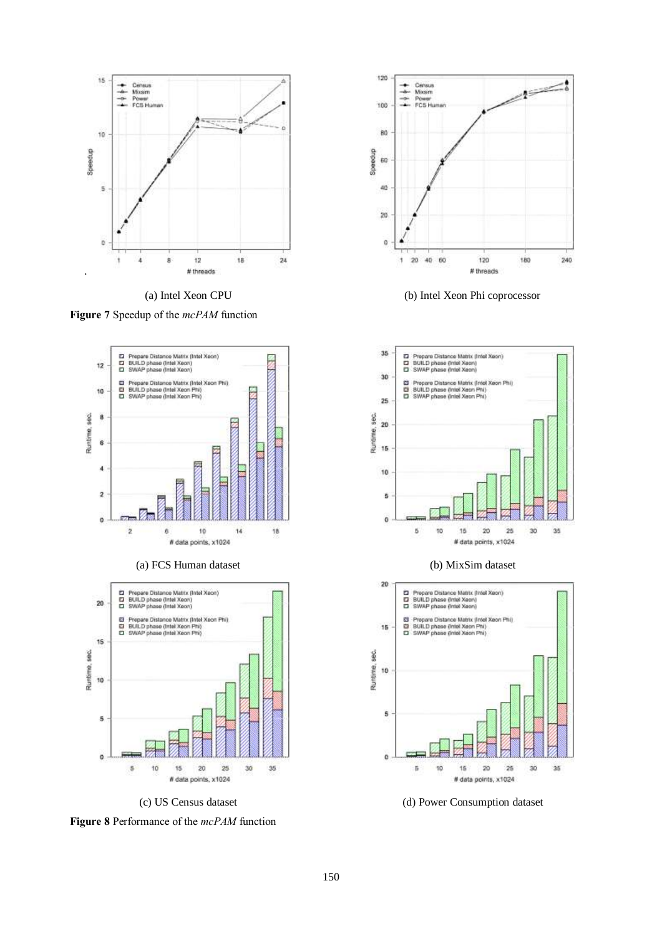

Figure 7 Speedup of the *mcPAM* function



(a) FCS Human dataset (b) MixSim dataset







(a) Intel Xeon CPU (b) Intel Xeon Phi coprocessor





(c) US Census dataset (d) Power Consumption dataset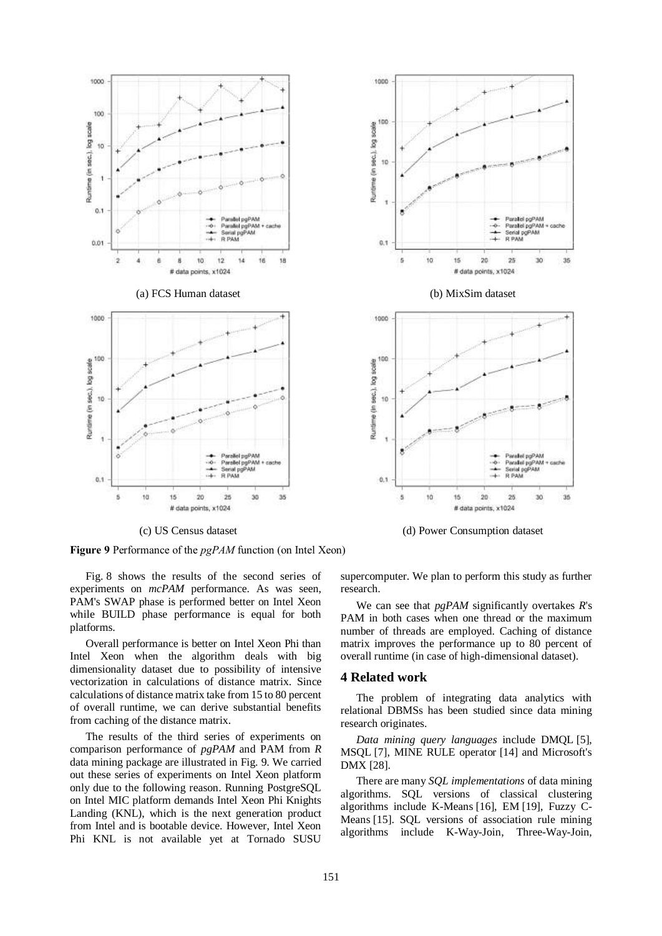

Figure 9 Performance of the *pgPAM* function (on Intel Xeon)

Fig. 8 shows the results of the second series of experiments on *mcPAM* performance. As was seen, PAM's SWAP phase is performed better on Intel Xeon while BUILD phase performance is equal for both platforms.

Overall performance is better on Intel Xeon Phi than Intel Xeon when the algorithm deals with big dimensionality dataset due to possibility of intensive vectorization in calculations of distance matrix. Since calculations of distance matrix take from 15 to 80 percent of overall runtime, we can derive substantial benefits from caching of the distance matrix.

The results of the third series of experiments on comparison performance of *pgPAM* and PAM from *R* data mining package are illustrated in Fig. 9. We carried out these series of experiments on Intel Xeon platform only due to the following reason. Running PostgreSQL on Intel MIC platform demands Intel Xeon Phi Knights Landing (KNL), which is the next generation product from Intel and is bootable device. However, Intel Xeon Phi KNL is not available yet at Tornado SUSU



(c) US Census dataset (d) Power Consumption dataset

supercomputer. We plan to perform this study as further research.

We can see that *pgPAM* significantly overtakes *R*'s PAM in both cases when one thread or the maximum number of threads are employed. Caching of distance matrix improves the performance up to 80 percent of overall runtime (in case of high-dimensional dataset).

#### **4 Related work**

The problem of integrating data analytics with relational DBMSs has been studied since data mining research originates.

*Data mining query languages* include DMQL [5], MSQL [7], MINE RULE operator [14] and Microsoft's DMX [28].

There are many *SQL implementations* of data mining algorithms. SQL versions of classical clustering algorithms include K-Means [16], EM [19], Fuzzy C-Means [15]. SQL versions of association rule mining algorithms include K-Way-Join, Three-Way-Join,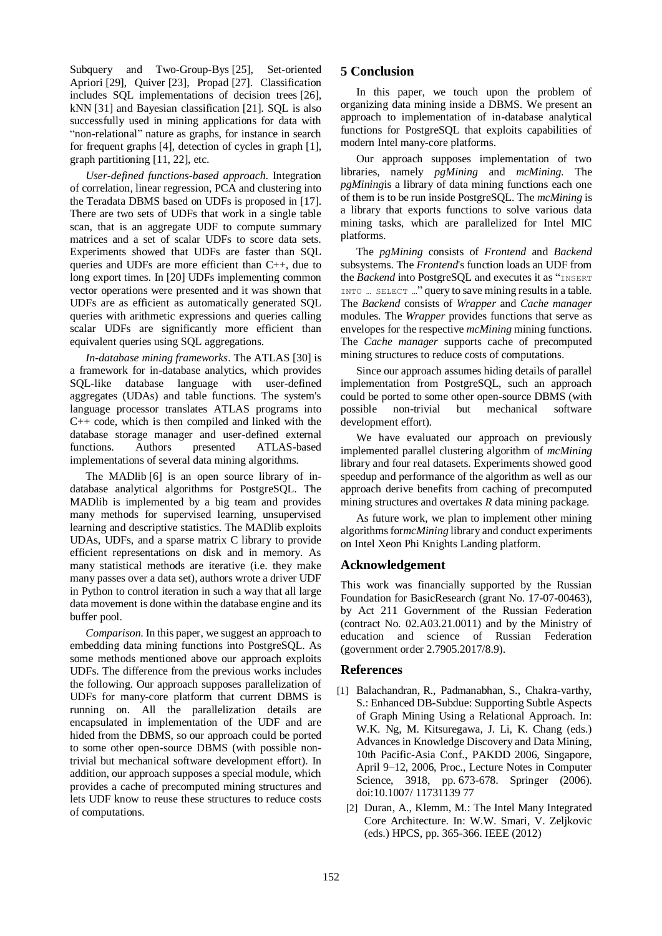Subquery and Two-Group-Bys [25], Set-oriented Apriori [29], Quiver [23], Propad [27]. Classification includes SQL implementations of decision trees [26], kNN [31] and Bayesian classification [21]. SQL is also successfully used in mining applications for data with "non-relational" nature as graphs, for instance in search for frequent graphs [4], detection of cycles in graph [1], graph partitioning [11, 22], etc.

*User-defined functions-based approach*. Integration of correlation, linear regression, PCA and clustering into the Teradata DBMS based on UDFs is proposed in [17]. There are two sets of UDFs that work in a single table scan, that is an aggregate UDF to compute summary matrices and a set of scalar UDFs to score data sets. Experiments showed that UDFs are faster than SQL queries and UDFs are more efficient than C++, due to long export times. In [20] UDFs implementing common vector operations were presented and it was shown that UDFs are as efficient as automatically generated SQL queries with arithmetic expressions and queries calling scalar UDFs are significantly more efficient than equivalent queries using SQL aggregations.

*In-database mining frameworks*. The ATLAS [30] is a framework for in-database analytics, which provides SQL-like database language with user-defined aggregates (UDAs) and table functions. The system's language processor translates ATLAS programs into  $C_{++}$  code, which is then compiled and linked with the database storage manager and user-defined external functions. Authors presented ATLAS-based implementations of several data mining algorithms.

The MADlib [6] is an open source library of indatabase analytical algorithms for PostgreSQL. The MADlib is implemented by a big team and provides many methods for supervised learning, unsupervised learning and descriptive statistics. The MADlib exploits UDAs, UDFs, and a sparse matrix C library to provide efficient representations on disk and in memory. As many statistical methods are iterative (i.e. they make many passes over a data set), authors wrote a driver UDF in Python to control iteration in such a way that all large data movement is done within the database engine and its buffer pool.

*Comparison*. In this paper, we suggest an approach to embedding data mining functions into PostgreSQL. As some methods mentioned above our approach exploits UDFs. The difference from the previous works includes the following. Our approach supposes parallelization of UDFs for many-core platform that current DBMS is running on. All the parallelization details are encapsulated in implementation of the UDF and are hided from the DBMS, so our approach could be ported to some other open-source DBMS (with possible nontrivial but mechanical software development effort). In addition, our approach supposes a special module, which provides a cache of precomputed mining structures and lets UDF know to reuse these structures to reduce costs of computations.

# **5 Conclusion**

In this paper, we touch upon the problem of organizing data mining inside a DBMS. We present an approach to implementation of in-database analytical functions for PostgreSQL that exploits capabilities of modern Intel many-core platforms.

Our approach supposes implementation of two libraries, namely *pgMining* and *mcMining*. The *pgMining*is a library of data mining functions each one of them is to be run inside PostgreSQL. The *mcMining* is a library that exports functions to solve various data mining tasks, which are parallelized for Intel MIC platforms.

The *pgMining* consists of *Frontend* and *Backend* subsystems. The *Frontend*'s function loads an UDF from the *Backend* into PostgreSOL and executes it as "INSERT INTO … SELECT …" query to save mining results in a table. The *Backend* consists of *Wrapper* and *Cache manager* modules. The *Wrapper* provides functions that serve as envelopes for the respective *mcMining* mining functions. The *Cache manager* supports cache of precomputed mining structures to reduce costs of computations.

Since our approach assumes hiding details of parallel implementation from PostgreSQL, such an approach could be ported to some other open-source DBMS (with possible non-trivial but mechanical software development effort).

We have evaluated our approach on previously implemented parallel clustering algorithm of *mcMining* library and four real datasets. Experiments showed good speedup and performance of the algorithm as well as our approach derive benefits from caching of precomputed mining structures and overtakes *R* data mining package.

As future work, we plan to implement other mining algorithms for*mcMining* library and conduct experiments on Intel Xeon Phi Knights Landing platform.

# **Acknowledgement**

This work was financially supported by the Russian Foundation for BasicResearch (grant No. 17-07-00463), by Act 211 Government of the Russian Federation (contract No. 02.A03.21.0011) and by the Ministry of education and science of Russian Federation (government order 2.7905.2017/8.9).

# **References**

- [1] Balachandran, R., Padmanabhan, S., Chakra-varthy, S.: Enhanced DB-Subdue: Supporting Subtle Aspects of Graph Mining Using a Relational Approach. In: W.K. Ng, M. Kitsuregawa, J. Li, K. Chang (eds.) Advances in Knowledge Discovery and Data Mining, 10th Pacific-Asia Conf., PAKDD 2006, Singapore, April 9–12, 2006, Proc., Lecture Notes in Computer Science, 3918, pp. 673-678. Springer (2006). doi:10.1007/ 11731139 77
	- [2] Duran, A., Klemm, M.: The Intel Many Integrated Core Architecture. In: W.W. Smari, V. Zeljkovic (eds.) HPCS, pp. 365-366. IEEE (2012)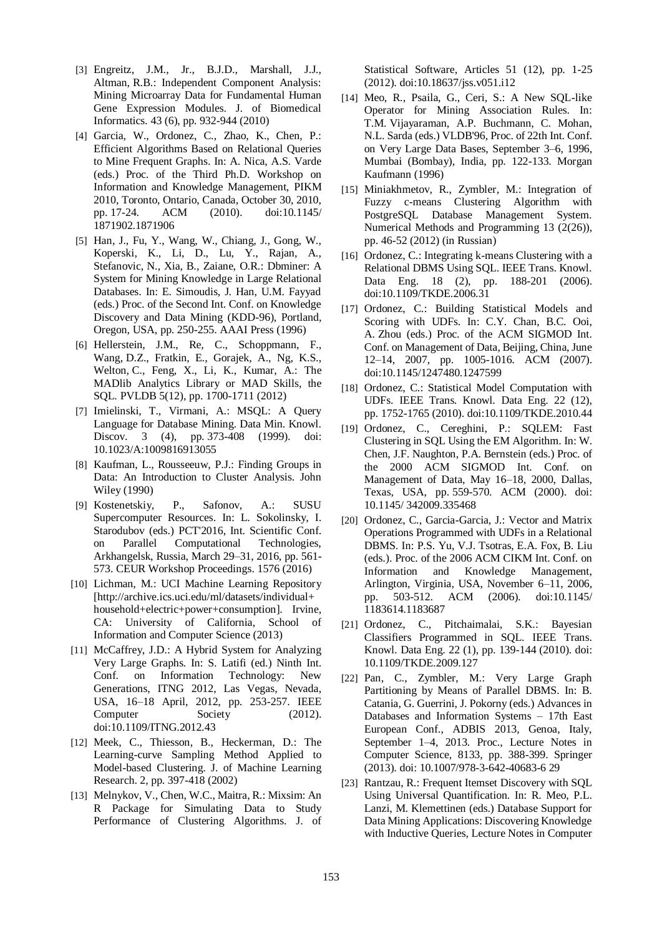- [3] Engreitz, J.M., Jr., B.J.D., Marshall, J.J., Altman, R.B.: Independent Component Analysis: Mining Microarray Data for Fundamental Human Gene Expression Modules. J. of Biomedical Informatics. 43 (6), pp. 932-944 (2010)
- [4] Garcia, W., Ordonez, C., Zhao, K., Chen, P.: Efficient Algorithms Based on Relational Queries to Mine Frequent Graphs. In: A. Nica, A.S. Varde (eds.) Proc. of the Third Ph.D. Workshop on Information and Knowledge Management, PIKM 2010, Toronto, Ontario, Canada, October 30, 2010, pp. 17-24. ACM (2010). doi:10.1145/ 1871902.1871906
- [5] Han, J., Fu, Y., Wang, W., Chiang, J., Gong, W., Koperski, K., Li, D., Lu, Y., Rajan, A., Stefanovic, N., Xia, B., Zaiane, O.R.: Dbminer: A System for Mining Knowledge in Large Relational Databases. In: E. Simoudis, J. Han, U.M. Fayyad (eds.) Proc. of the Second Int. Conf. on Knowledge Discovery and Data Mining (KDD-96), Portland, Oregon, USA, pp. 250-255. AAAI Press (1996)
- [6] Hellerstein, J.M., Re, C., Schoppmann, F., Wang, D.Z., Fratkin, E., Gorajek, A., Ng, K.S., Welton, C., Feng, X., Li, K., Kumar, A.: The MADlib Analytics Library or MAD Skills, the SQL. PVLDB 5(12), pp. 1700-1711 (2012)
- [7] Imielinski, T., Virmani, A.: MSQL: A Query Language for Database Mining. Data Min. Knowl. Discov. 3 (4), pp. 373-408 (1999). doi: 10.1023/A:1009816913055
- [8] Kaufman, L., Rousseeuw, P.J.: Finding Groups in Data: An Introduction to Cluster Analysis. John Wiley (1990)
- [9] Kostenetskiy, P., Safonov, A.: SUSU Supercomputer Resources. In: L. Sokolinsky, I. Starodubov (eds.) PCT'2016, Int. Scientific Conf. on Parallel Computational Technologies, Arkhangelsk, Russia, March 29–31, 2016, pp. 561- 573. CEUR Workshop Proceedings. 1576 (2016)
- [10] Lichman, M.: UCI Machine Learning Repository [http://archive.ics.uci.edu/ml/datasets/individual+ household+electric+power+consumption]. Irvine, CA: University of California, School of Information and Computer Science (2013)
- [11] McCaffrey, J.D.: A Hybrid System for Analyzing Very Large Graphs. In: S. Latifi (ed.) Ninth Int. Conf. on Information Technology: New Generations, ITNG 2012, Las Vegas, Nevada, USA, 16–18 April, 2012, pp. 253-257. IEEE Computer Society (2012). doi:10.1109/ITNG.2012.43
- [12] Meek, C., Thiesson, B., Heckerman, D.: The Learning-curve Sampling Method Applied to Model-based Clustering. J. of Machine Learning Research. 2, pp. 397-418 (2002)
- [13] Melnykov, V., Chen, W.C., Maitra, R.: Mixsim: An R Package for Simulating Data to Study Performance of Clustering Algorithms. J. of

Statistical Software, Articles 51 (12), pp. 1-25 (2012). doi:10.18637/jss.v051.i12

- [14] Meo, R., Psaila, G., Ceri, S.: A New SQL-like Operator for Mining Association Rules. In: T.M. Vijayaraman, A.P. Buchmann, C. Mohan, N.L. Sarda (eds.) VLDB'96, Proc. of 22th Int. Conf. on Very Large Data Bases, September 3–6, 1996, Mumbai (Bombay), India, pp. 122-133. Morgan Kaufmann (1996)
- [15] Miniakhmetov, R., Zymbler, M.: Integration of Fuzzy c-means Clustering Algorithm with PostgreSQL Database Management System. Numerical Methods and Programming 13 (2(26)), pp. 46-52 (2012) (in Russian)
- [16] Ordonez, C.: Integrating k-means Clustering with a Relational DBMS Using SQL. IEEE Trans. Knowl. Data Eng. 18 (2), pp. 188-201 (2006). doi:10.1109/TKDE.2006.31
- [17] Ordonez, C.: Building Statistical Models and Scoring with UDFs. In: C.Y. Chan, B.C. Ooi, A. Zhou (eds.) Proc. of the ACM SIGMOD Int. Conf. on Management of Data, Beijing, China, June 12–14, 2007, pp. 1005-1016. ACM (2007). doi:10.1145/1247480.1247599
- [18] Ordonez, C.: Statistical Model Computation with UDFs. IEEE Trans. Knowl. Data Eng. 22 (12), pp. 1752-1765 (2010). doi:10.1109/TKDE.2010.44
- [19] Ordonez, C., Cereghini, P.: SQLEM: Fast Clustering in SQL Using the EM Algorithm. In: W. Chen, J.F. Naughton, P.A. Bernstein (eds.) Proc. of the 2000 ACM SIGMOD Int. Conf. on Management of Data, May 16–18, 2000, Dallas, Texas, USA, pp. 559-570. ACM (2000). doi: 10.1145/ 342009.335468
- [20] Ordonez, C., Garcia-Garcia, J.: Vector and Matrix Operations Programmed with UDFs in a Relational DBMS. In: P.S. Yu, V.J. Tsotras, E.A. Fox, B. Liu (eds.). Proc. of the 2006 ACM CIKM Int. Conf. on Information and Knowledge Management, Arlington, Virginia, USA, November 6–11, 2006, pp. 503-512. ACM (2006). doi:10.1145/ 1183614.1183687
- [21] Ordonez, C., Pitchaimalai, S.K.: Bayesian Classifiers Programmed in SQL. IEEE Trans. Knowl. Data Eng. 22 (1), pp. 139-144 (2010). doi: 10.1109/TKDE.2009.127
- [22] Pan, C., Zymbler, M.: Very Large Graph Partitioning by Means of Parallel DBMS. In: B. Catania, G. Guerrini, J. Pokorny (eds.) Advances in Databases and Information Systems – 17th East European Conf., ADBIS 2013, Genoa, Italy, September 1–4, 2013. Proc., Lecture Notes in Computer Science, 8133, pp. 388-399. Springer (2013). doi: 10.1007/978-3-642-40683-6 29
- [23] Rantzau, R.: Frequent Itemset Discovery with SQL Using Universal Quantification. In: R. Meo, P.L. Lanzi, M. Klemettinen (eds.) Database Support for Data Mining Applications: Discovering Knowledge with Inductive Queries, Lecture Notes in Computer